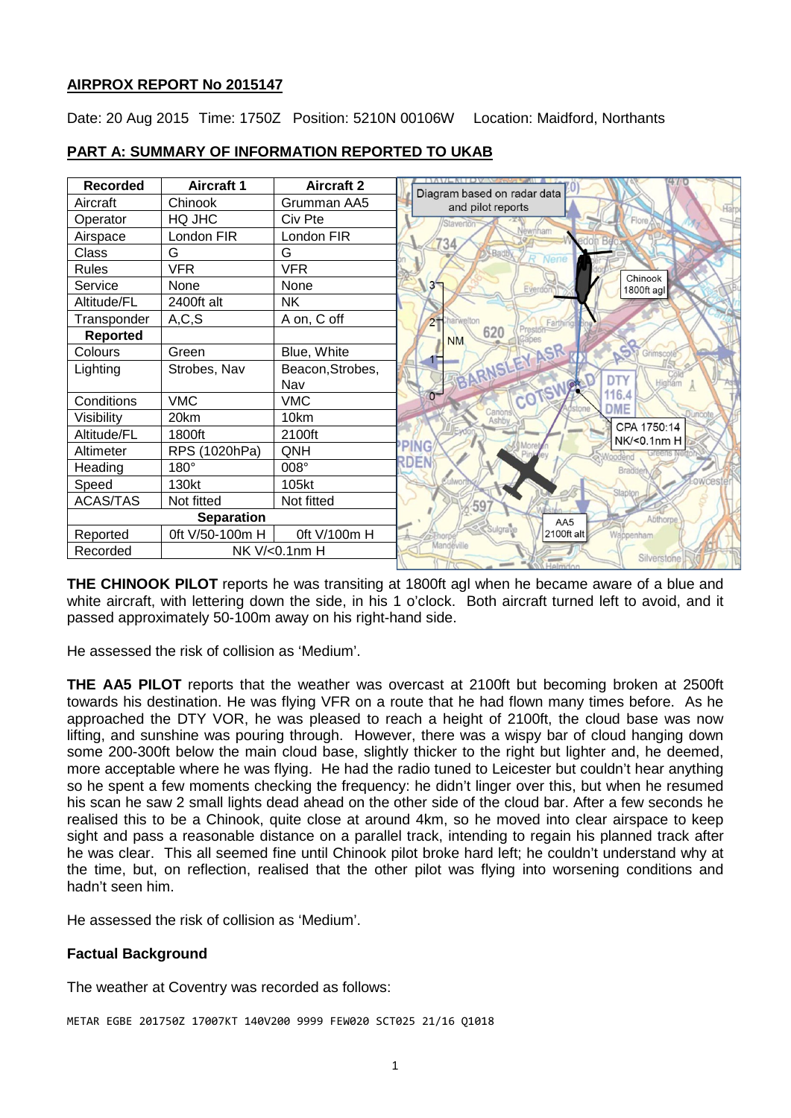### **AIRPROX REPORT No 2015147**

Date: 20 Aug 2015 Time: 1750Z Position: 5210N 00106W Location: Maidford, Northants



## **PART A: SUMMARY OF INFORMATION REPORTED TO UKAB**

**THE CHINOOK PILOT** reports he was transiting at 1800ft agl when he became aware of a blue and white aircraft, with lettering down the side, in his 1 o'clock. Both aircraft turned left to avoid, and it passed approximately 50-100m away on his right-hand side.

He assessed the risk of collision as 'Medium'.

**THE AA5 PILOT** reports that the weather was overcast at 2100ft but becoming broken at 2500ft towards his destination. He was flying VFR on a route that he had flown many times before. As he approached the DTY VOR, he was pleased to reach a height of 2100ft, the cloud base was now lifting, and sunshine was pouring through. However, there was a wispy bar of cloud hanging down some 200-300ft below the main cloud base, slightly thicker to the right but lighter and, he deemed, more acceptable where he was flying. He had the radio tuned to Leicester but couldn't hear anything so he spent a few moments checking the frequency: he didn't linger over this, but when he resumed his scan he saw 2 small lights dead ahead on the other side of the cloud bar. After a few seconds he realised this to be a Chinook, quite close at around 4km, so he moved into clear airspace to keep sight and pass a reasonable distance on a parallel track, intending to regain his planned track after he was clear. This all seemed fine until Chinook pilot broke hard left; he couldn't understand why at the time, but, on reflection, realised that the other pilot was flying into worsening conditions and hadn't seen him.

He assessed the risk of collision as 'Medium'.

### **Factual Background**

The weather at Coventry was recorded as follows:

METAR EGBE 201750Z 17007KT 140V200 9999 FEW020 SCT025 21/16 Q1018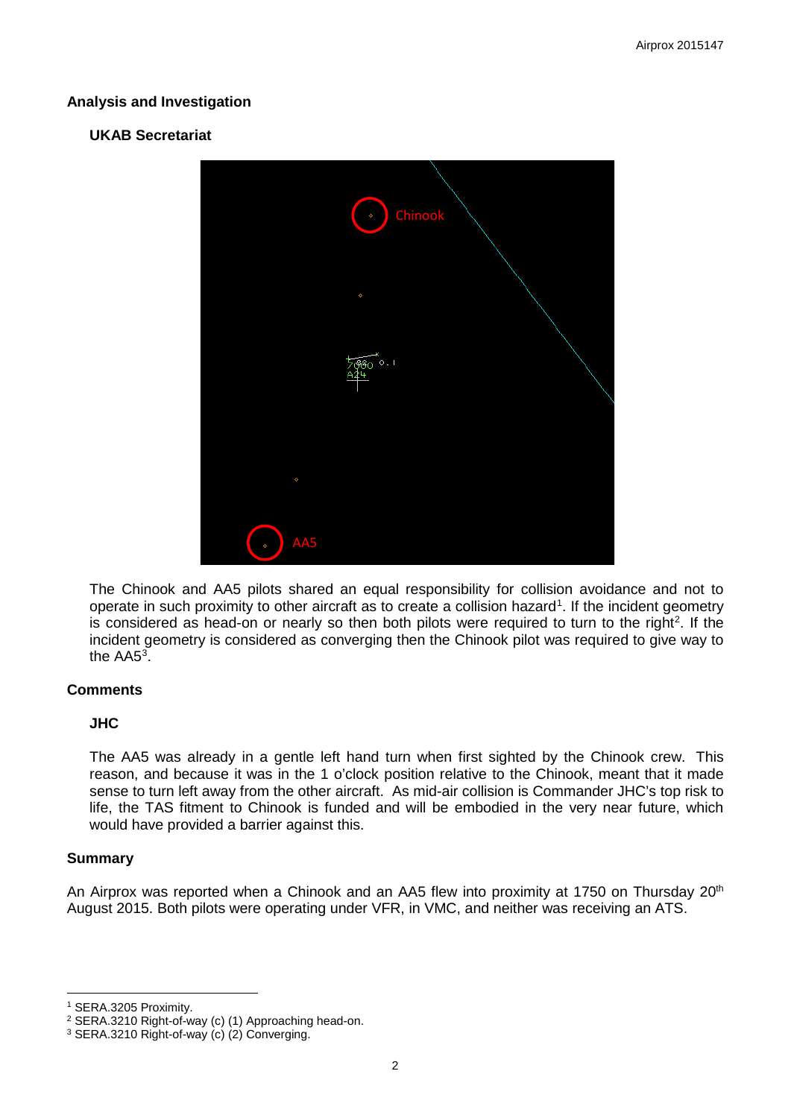### **Analysis and Investigation**

### **UKAB Secretariat**



The Chinook and AA5 pilots shared an equal responsibility for collision avoidance and not to operate in such proximity to other aircraft as to create a collision hazard<sup>[1](#page-1-0)</sup>. If the incident geometry is considered as head-on or nearly so then both pilots were required to turn to the right<sup>[2](#page-1-1)</sup>. If the incident geometry is considered as converging then the Chinook pilot was required to give way to the  $AA5<sup>3</sup>$  $AA5<sup>3</sup>$  $AA5<sup>3</sup>$ .

#### **Comments**

### **JHC**

The AA5 was already in a gentle left hand turn when first sighted by the Chinook crew. This reason, and because it was in the 1 o'clock position relative to the Chinook, meant that it made sense to turn left away from the other aircraft. As mid-air collision is Commander JHC's top risk to life, the TAS fitment to Chinook is funded and will be embodied in the very near future, which would have provided a barrier against this.

### **Summary**

 $\overline{\phantom{a}}$ 

An Airprox was reported when a Chinook and an AA5 flew into proximity at 1750 on Thursday 20<sup>th</sup> August 2015. Both pilots were operating under VFR, in VMC, and neither was receiving an ATS.

<span id="page-1-0"></span><sup>1</sup> SERA.3205 Proximity.

<span id="page-1-1"></span><sup>2</sup> SERA.3210 Right-of-way (c) (1) Approaching head-on.

<span id="page-1-2"></span><sup>3</sup> SERA.3210 Right-of-way (c) (2) Converging.